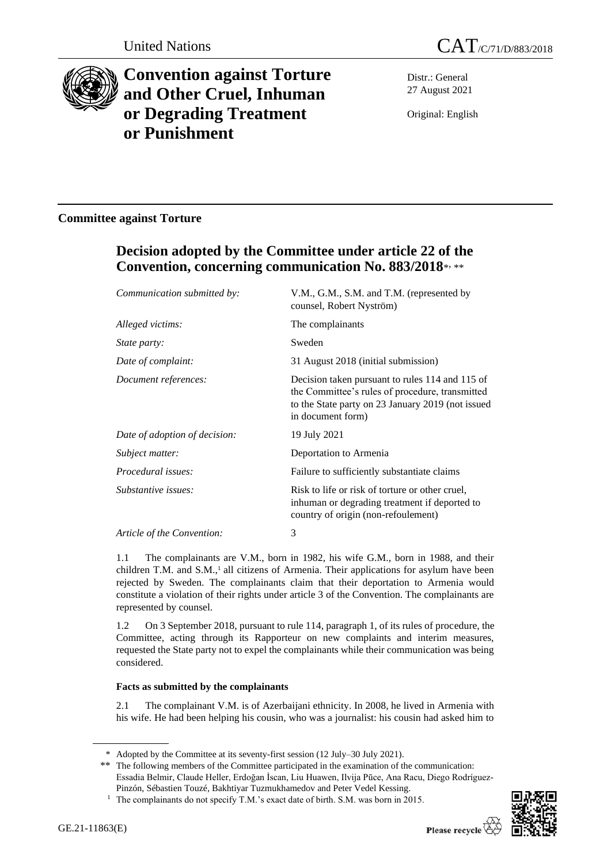



# **Convention against Torture and Other Cruel, Inhuman or Degrading Treatment or Punishment**

Distr.: General 27 August 2021

Original: English

### **Committee against Torture**

## **Decision adopted by the Committee under article 22 of the Convention, concerning communication No. 883/2018**\* , \*\*

| V.M., G.M., S.M. and T.M. (represented by<br>counsel, Robert Nyström)                                                                                                        |
|------------------------------------------------------------------------------------------------------------------------------------------------------------------------------|
| The complainants                                                                                                                                                             |
| Sweden                                                                                                                                                                       |
| 31 August 2018 (initial submission)                                                                                                                                          |
| Decision taken pursuant to rules 114 and 115 of<br>the Committee's rules of procedure, transmitted<br>to the State party on 23 January 2019 (not issued<br>in document form) |
| 19 July 2021                                                                                                                                                                 |
| Deportation to Armenia                                                                                                                                                       |
| Failure to sufficiently substantiate claims                                                                                                                                  |
| Risk to life or risk of torture or other cruel,<br>inhuman or degrading treatment if deported to<br>country of origin (non-refoulement)                                      |
| 3                                                                                                                                                                            |
|                                                                                                                                                                              |

1.1 The complainants are V.M., born in 1982, his wife G.M., born in 1988, and their children T.M. and  $S.M.,<sup>1</sup>$  all citizens of Armenia. Their applications for asylum have been rejected by Sweden. The complainants claim that their deportation to Armenia would constitute a violation of their rights under article 3 of the Convention. The complainants are represented by counsel.

1.2 On 3 September 2018, pursuant to rule 114, paragraph 1, of its rules of procedure, the Committee, acting through its Rapporteur on new complaints and interim measures, requested the State party not to expel the complainants while their communication was being considered.

#### **Facts as submitted by the complainants**

2.1 The complainant V.M. is of Azerbaijani ethnicity. In 2008, he lived in Armenia with his wife. He had been helping his cousin, who was a journalist: his cousin had asked him to



<sup>\*</sup> Adopted by the Committee at its seventy-first session (12 July–30 July 2021).

<sup>\*\*</sup> The following members of the Committee participated in the examination of the communication: Essadia Belmir, Claude Heller, Erdoğan İscan, Liu Huawen, Ilvija Pūce, Ana Racu, Diego Rodríguez-Pinzón, Sébastien Touzé, Bakhtiyar Tuzmukhamedov and Peter Vedel Kessing.

<sup>&</sup>lt;sup>1</sup> The complainants do not specify T.M.'s exact date of birth. S.M. was born in 2015.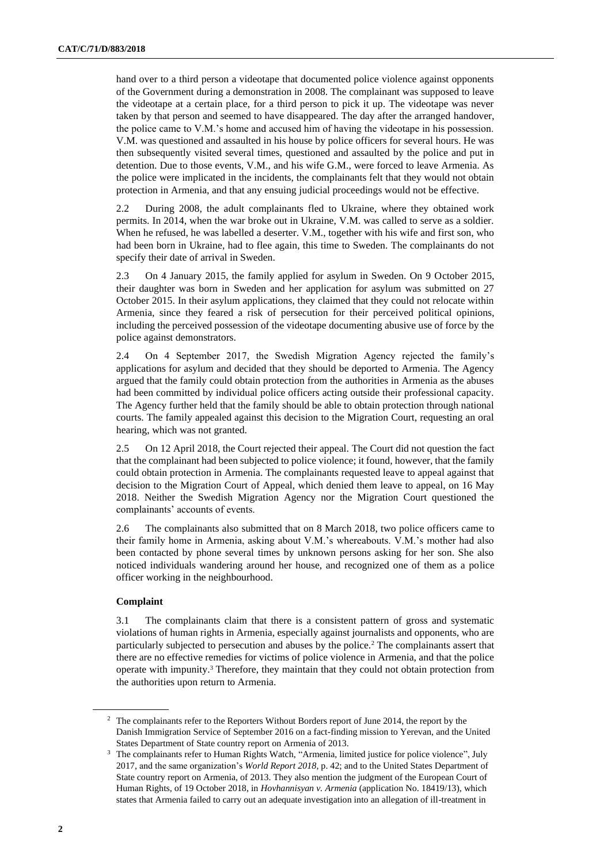hand over to a third person a videotape that documented police violence against opponents of the Government during a demonstration in 2008. The complainant was supposed to leave the videotape at a certain place, for a third person to pick it up. The videotape was never taken by that person and seemed to have disappeared. The day after the arranged handover, the police came to V.M.'s home and accused him of having the videotape in his possession. V.M. was questioned and assaulted in his house by police officers for several hours. He was then subsequently visited several times, questioned and assaulted by the police and put in detention. Due to those events, V.M., and his wife G.M., were forced to leave Armenia. As the police were implicated in the incidents, the complainants felt that they would not obtain protection in Armenia, and that any ensuing judicial proceedings would not be effective.

2.2 During 2008, the adult complainants fled to Ukraine, where they obtained work permits. In 2014, when the war broke out in Ukraine, V.M. was called to serve as a soldier. When he refused, he was labelled a deserter. V.M., together with his wife and first son, who had been born in Ukraine, had to flee again, this time to Sweden. The complainants do not specify their date of arrival in Sweden.

2.3 On 4 January 2015, the family applied for asylum in Sweden. On 9 October 2015, their daughter was born in Sweden and her application for asylum was submitted on 27 October 2015. In their asylum applications, they claimed that they could not relocate within Armenia, since they feared a risk of persecution for their perceived political opinions, including the perceived possession of the videotape documenting abusive use of force by the police against demonstrators.

2.4 On 4 September 2017, the Swedish Migration Agency rejected the family's applications for asylum and decided that they should be deported to Armenia. The Agency argued that the family could obtain protection from the authorities in Armenia as the abuses had been committed by individual police officers acting outside their professional capacity. The Agency further held that the family should be able to obtain protection through national courts. The family appealed against this decision to the Migration Court, requesting an oral hearing, which was not granted.

2.5 On 12 April 2018, the Court rejected their appeal. The Court did not question the fact that the complainant had been subjected to police violence; it found, however, that the family could obtain protection in Armenia. The complainants requested leave to appeal against that decision to the Migration Court of Appeal, which denied them leave to appeal, on 16 May 2018. Neither the Swedish Migration Agency nor the Migration Court questioned the complainants' accounts of events.

2.6 The complainants also submitted that on 8 March 2018, two police officers came to their family home in Armenia, asking about V.M.'s whereabouts. V.M.'s mother had also been contacted by phone several times by unknown persons asking for her son. She also noticed individuals wandering around her house, and recognized one of them as a police officer working in the neighbourhood.

#### **Complaint**

3.1 The complainants claim that there is a consistent pattern of gross and systematic violations of human rights in Armenia, especially against journalists and opponents, who are particularly subjected to persecution and abuses by the police.<sup>2</sup> The complainants assert that there are no effective remedies for victims of police violence in Armenia, and that the police operate with impunity.<sup>3</sup> Therefore, they maintain that they could not obtain protection from the authorities upon return to Armenia.

<sup>&</sup>lt;sup>2</sup> The complainants refer to the Reporters Without Borders report of June 2014, the report by the Danish Immigration Service of September 2016 on a fact-finding mission to Yerevan, and the United States Department of State country report on Armenia of 2013.

<sup>&</sup>lt;sup>3</sup> The complainants refer to Human Rights Watch, "Armenia, limited justice for police violence", July 2017, and the same organization's *World Report 2018*, p. 42; and to the United States Department of State country report on Armenia, of 2013. They also mention the judgment of the European Court of Human Rights, of 19 October 2018, in *Hovhannisyan v. Armenia* (application No. [18419/13\)](https://hudoc.echr.coe.int/eng#{"appno":["18419/13"]}), which states that Armenia failed to carry out an adequate investigation into an allegation of ill-treatment in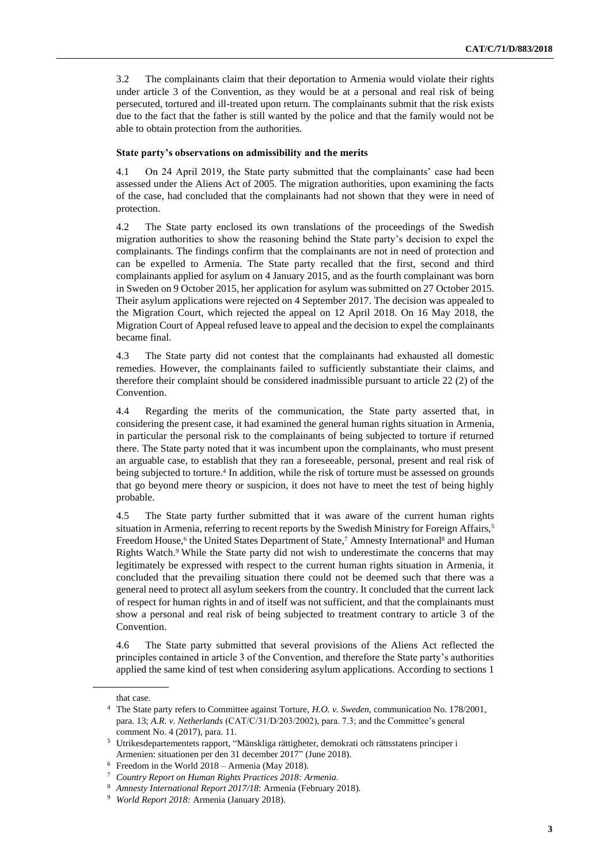3.2 The complainants claim that their deportation to Armenia would violate their rights under article 3 of the Convention, as they would be at a personal and real risk of being persecuted, tortured and ill-treated upon return. The complainants submit that the risk exists due to the fact that the father is still wanted by the police and that the family would not be able to obtain protection from the authorities.

#### **State party's observations on admissibility and the merits**

4.1 On 24 April 2019, the State party submitted that the complainants' case had been assessed under the Aliens Act of 2005. The migration authorities, upon examining the facts of the case, had concluded that the complainants had not shown that they were in need of protection.

4.2 The State party enclosed its own translations of the proceedings of the Swedish migration authorities to show the reasoning behind the State party's decision to expel the complainants. The findings confirm that the complainants are not in need of protection and can be expelled to Armenia. The State party recalled that the first, second and third complainants applied for asylum on 4 January 2015, and as the fourth complainant was born in Sweden on 9 October 2015, her application for asylum was submitted on 27 October 2015. Their asylum applications were rejected on 4 September 2017. The decision was appealed to the Migration Court, which rejected the appeal on 12 April 2018. On 16 May 2018, the Migration Court of Appeal refused leave to appeal and the decision to expel the complainants became final.

4.3 The State party did not contest that the complainants had exhausted all domestic remedies. However, the complainants failed to sufficiently substantiate their claims, and therefore their complaint should be considered inadmissible pursuant to article 22 (2) of the Convention.

4.4 Regarding the merits of the communication, the State party asserted that, in considering the present case, it had examined the general human rights situation in Armenia, in particular the personal risk to the complainants of being subjected to torture if returned there. The State party noted that it was incumbent upon the complainants, who must present an arguable case, to establish that they ran a foreseeable, personal, present and real risk of being subjected to torture.<sup>4</sup> In addition, while the risk of torture must be assessed on grounds that go beyond mere theory or suspicion, it does not have to meet the test of being highly probable.

4.5 The State party further submitted that it was aware of the current human rights situation in Armenia, referring to recent reports by the Swedish Ministry for Foreign Affairs,<sup>5</sup> Freedom House,<sup>6</sup> the United States Department of State,<sup>7</sup> Amnesty International<sup>8</sup> and Human Rights Watch.<sup>9</sup> While the State party did not wish to underestimate the concerns that may legitimately be expressed with respect to the current human rights situation in Armenia, it concluded that the prevailing situation there could not be deemed such that there was a general need to protect all asylum seekers from the country. It concluded that the current lack of respect for human rights in and of itself was not sufficient, and that the complainants must show a personal and real risk of being subjected to treatment contrary to article 3 of the Convention.

4.6 The State party submitted that several provisions of the Aliens Act reflected the principles contained in article 3 of the Convention, and therefore the State party's authorities applied the same kind of test when considering asylum applications. According to sections 1

that case.

<sup>4</sup> The State party refers to Committee against Torture, *H.O. v. Sweden*, communication No. 178/2001, para. 13; *A.R. v. Netherlands* (CAT/C/31/D/203/2002), para. 7.3; and the Committee's general comment No. 4 (2017), para. 11.

<sup>5</sup> Utrikesdepartementets rapport, "Mänskliga rättigheter, demokrati och rättsstatens principer i Armenien: situationen per den 31 december 2017" (June 2018).

 $6$  Freedom in the World 2018 – Armenia (May 2018).

<sup>7</sup> *Country Report on Human Rights Practices 2018: Armenia.*

<sup>8</sup> *Amnesty International Report 2017/18*: Armenia (February 2018).

<sup>9</sup> *World Report 2018:* Armenia (January 2018).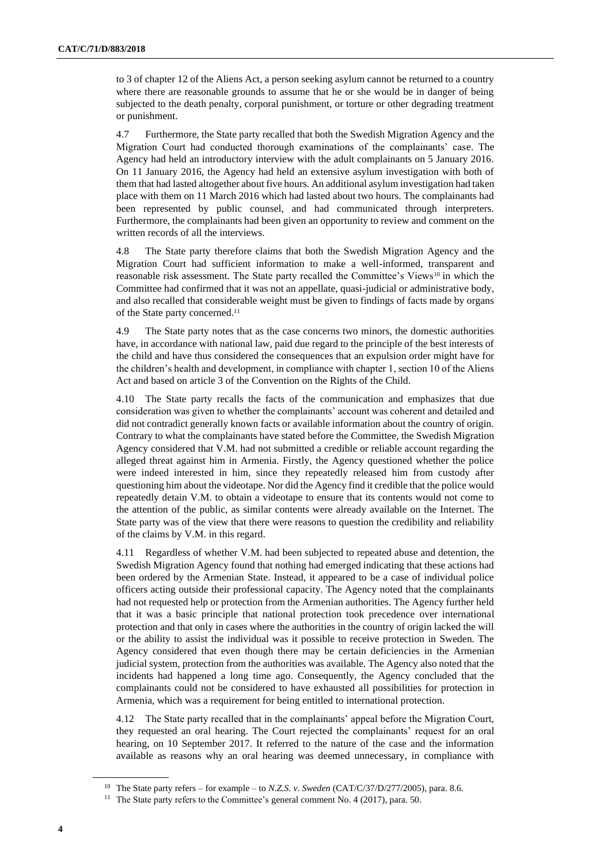to 3 of chapter 12 of the Aliens Act, a person seeking asylum cannot be returned to a country where there are reasonable grounds to assume that he or she would be in danger of being subjected to the death penalty, corporal punishment, or torture or other degrading treatment or punishment.

4.7 Furthermore, the State party recalled that both the Swedish Migration Agency and the Migration Court had conducted thorough examinations of the complainants' case. The Agency had held an introductory interview with the adult complainants on 5 January 2016. On 11 January 2016, the Agency had held an extensive asylum investigation with both of them that had lasted altogether about five hours. An additional asylum investigation had taken place with them on 11 March 2016 which had lasted about two hours. The complainants had been represented by public counsel, and had communicated through interpreters. Furthermore, the complainants had been given an opportunity to review and comment on the written records of all the interviews.

4.8 The State party therefore claims that both the Swedish Migration Agency and the Migration Court had sufficient information to make a well-informed, transparent and reasonable risk assessment. The State party recalled the Committee's Views<sup>10</sup> in which the Committee had confirmed that it was not an appellate, quasi-judicial or administrative body, and also recalled that considerable weight must be given to findings of facts made by organs of the State party concerned.<sup>11</sup>

4.9 The State party notes that as the case concerns two minors, the domestic authorities have, in accordance with national law, paid due regard to the principle of the best interests of the child and have thus considered the consequences that an expulsion order might have for the children's health and development, in compliance with chapter 1, section 10 of the Aliens Act and based on article 3 of the Convention on the Rights of the Child.

4.10 The State party recalls the facts of the communication and emphasizes that due consideration was given to whether the complainants' account was coherent and detailed and did not contradict generally known facts or available information about the country of origin. Contrary to what the complainants have stated before the Committee, the Swedish Migration Agency considered that V.M. had not submitted a credible or reliable account regarding the alleged threat against him in Armenia. Firstly, the Agency questioned whether the police were indeed interested in him, since they repeatedly released him from custody after questioning him about the videotape. Nor did the Agency find it credible that the police would repeatedly detain V.M. to obtain a videotape to ensure that its contents would not come to the attention of the public, as similar contents were already available on the Internet. The State party was of the view that there were reasons to question the credibility and reliability of the claims by V.M. in this regard.

4.11 Regardless of whether V.M. had been subjected to repeated abuse and detention, the Swedish Migration Agency found that nothing had emerged indicating that these actions had been ordered by the Armenian State. Instead, it appeared to be a case of individual police officers acting outside their professional capacity. The Agency noted that the complainants had not requested help or protection from the Armenian authorities. The Agency further held that it was a basic principle that national protection took precedence over international protection and that only in cases where the authorities in the country of origin lacked the will or the ability to assist the individual was it possible to receive protection in Sweden. The Agency considered that even though there may be certain deficiencies in the Armenian judicial system, protection from the authorities was available. The Agency also noted that the incidents had happened a long time ago. Consequently, the Agency concluded that the complainants could not be considered to have exhausted all possibilities for protection in Armenia, which was a requirement for being entitled to international protection.

4.12 The State party recalled that in the complainants' appeal before the Migration Court, they requested an oral hearing. The Court rejected the complainants' request for an oral hearing, on 10 September 2017. It referred to the nature of the case and the information available as reasons why an oral hearing was deemed unnecessary, in compliance with

<sup>10</sup> The State party refers – for example – to *N.Z.S. v. Sweden* (CAT/C/37/D/277/2005), para. 8.6.

<sup>&</sup>lt;sup>11</sup> The State party refers to the Committee's general comment No. 4 (2017), para. 50.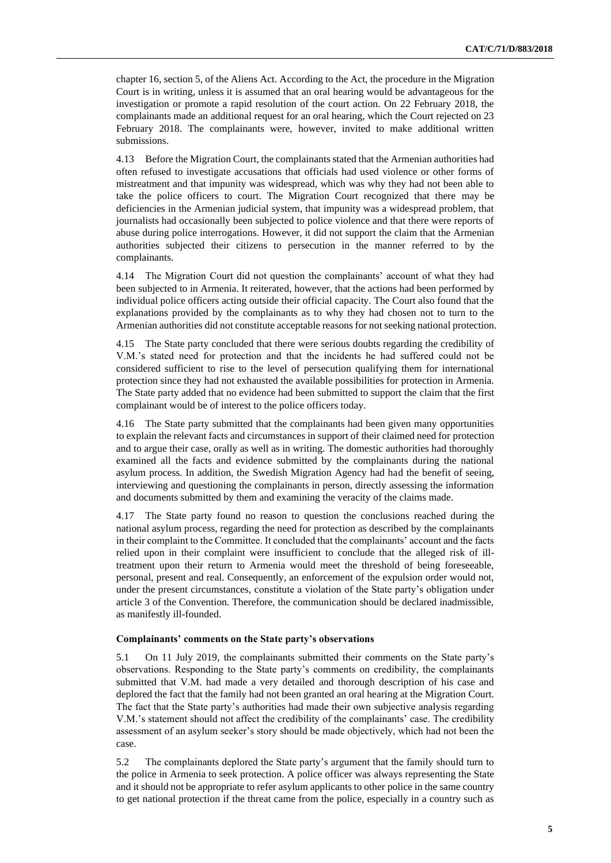chapter 16, section 5, of the Aliens Act. According to the Act, the procedure in the Migration Court is in writing, unless it is assumed that an oral hearing would be advantageous for the investigation or promote a rapid resolution of the court action. On 22 February 2018, the complainants made an additional request for an oral hearing, which the Court rejected on 23 February 2018. The complainants were, however, invited to make additional written submissions.

4.13 Before the Migration Court, the complainants stated that the Armenian authorities had often refused to investigate accusations that officials had used violence or other forms of mistreatment and that impunity was widespread, which was why they had not been able to take the police officers to court. The Migration Court recognized that there may be deficiencies in the Armenian judicial system, that impunity was a widespread problem, that journalists had occasionally been subjected to police violence and that there were reports of abuse during police interrogations. However, it did not support the claim that the Armenian authorities subjected their citizens to persecution in the manner referred to by the complainants.

4.14 The Migration Court did not question the complainants' account of what they had been subjected to in Armenia. It reiterated, however, that the actions had been performed by individual police officers acting outside their official capacity. The Court also found that the explanations provided by the complainants as to why they had chosen not to turn to the Armenian authorities did not constitute acceptable reasons for not seeking national protection.

4.15 The State party concluded that there were serious doubts regarding the credibility of V.M.'s stated need for protection and that the incidents he had suffered could not be considered sufficient to rise to the level of persecution qualifying them for international protection since they had not exhausted the available possibilities for protection in Armenia. The State party added that no evidence had been submitted to support the claim that the first complainant would be of interest to the police officers today.

4.16 The State party submitted that the complainants had been given many opportunities to explain the relevant facts and circumstances in support of their claimed need for protection and to argue their case, orally as well as in writing. The domestic authorities had thoroughly examined all the facts and evidence submitted by the complainants during the national asylum process. In addition, the Swedish Migration Agency had had the benefit of seeing, interviewing and questioning the complainants in person, directly assessing the information and documents submitted by them and examining the veracity of the claims made.

4.17 The State party found no reason to question the conclusions reached during the national asylum process, regarding the need for protection as described by the complainants in their complaint to the Committee. It concluded that the complainants' account and the facts relied upon in their complaint were insufficient to conclude that the alleged risk of illtreatment upon their return to Armenia would meet the threshold of being foreseeable, personal, present and real. Consequently, an enforcement of the expulsion order would not, under the present circumstances, constitute a violation of the State party's obligation under article 3 of the Convention. Therefore, the communication should be declared inadmissible, as manifestly ill-founded.

#### **Complainants' comments on the State party's observations**

5.1 On 11 July 2019, the complainants submitted their comments on the State party's observations. Responding to the State party's comments on credibility, the complainants submitted that V.M. had made a very detailed and thorough description of his case and deplored the fact that the family had not been granted an oral hearing at the Migration Court. The fact that the State party's authorities had made their own subjective analysis regarding V.M.'s statement should not affect the credibility of the complainants' case. The credibility assessment of an asylum seeker's story should be made objectively, which had not been the case.

5.2 The complainants deplored the State party's argument that the family should turn to the police in Armenia to seek protection. A police officer was always representing the State and it should not be appropriate to refer asylum applicants to other police in the same country to get national protection if the threat came from the police, especially in a country such as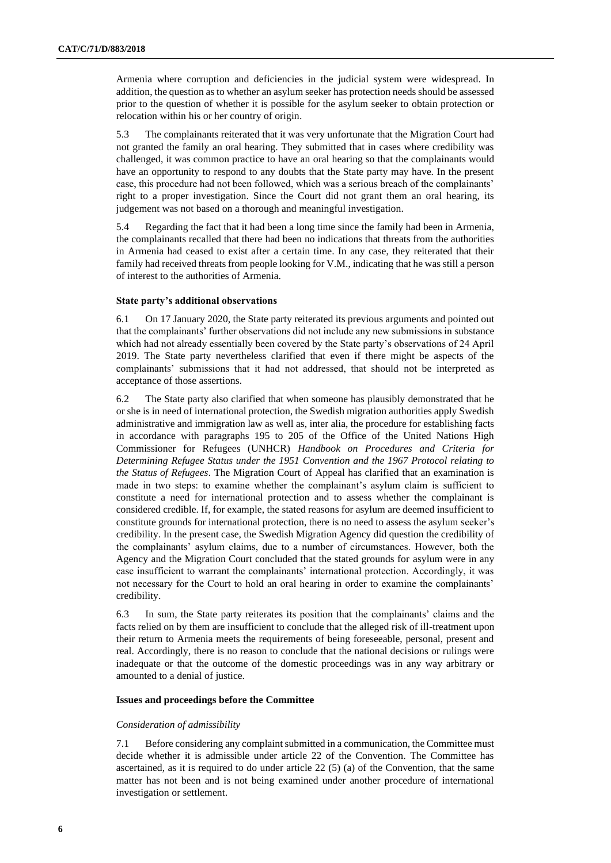Armenia where corruption and deficiencies in the judicial system were widespread. In addition, the question as to whether an asylum seeker has protection needs should be assessed prior to the question of whether it is possible for the asylum seeker to obtain protection or relocation within his or her country of origin.

5.3 The complainants reiterated that it was very unfortunate that the Migration Court had not granted the family an oral hearing. They submitted that in cases where credibility was challenged, it was common practice to have an oral hearing so that the complainants would have an opportunity to respond to any doubts that the State party may have. In the present case, this procedure had not been followed, which was a serious breach of the complainants' right to a proper investigation. Since the Court did not grant them an oral hearing, its judgement was not based on a thorough and meaningful investigation.

5.4 Regarding the fact that it had been a long time since the family had been in Armenia, the complainants recalled that there had been no indications that threats from the authorities in Armenia had ceased to exist after a certain time. In any case, they reiterated that their family had received threats from people looking for V.M., indicating that he was still a person of interest to the authorities of Armenia.

#### **State party's additional observations**

6.1 On 17 January 2020, the State party reiterated its previous arguments and pointed out that the complainants' further observations did not include any new submissions in substance which had not already essentially been covered by the State party's observations of 24 April 2019. The State party nevertheless clarified that even if there might be aspects of the complainants' submissions that it had not addressed, that should not be interpreted as acceptance of those assertions.

6.2 The State party also clarified that when someone has plausibly demonstrated that he or she is in need of international protection, the Swedish migration authorities apply Swedish administrative and immigration law as well as, inter alia, the procedure for establishing facts in accordance with paragraphs 195 to 205 of the Office of the United Nations High Commissioner for Refugees (UNHCR) *Handbook on Procedures and Criteria for Determining Refugee Status under the 1951 Convention and the 1967 Protocol relating to the Status of Refugees*. The Migration Court of Appeal has clarified that an examination is made in two steps: to examine whether the complainant's asylum claim is sufficient to constitute a need for international protection and to assess whether the complainant is considered credible. If, for example, the stated reasons for asylum are deemed insufficient to constitute grounds for international protection, there is no need to assess the asylum seeker's credibility. In the present case, the Swedish Migration Agency did question the credibility of the complainants' asylum claims, due to a number of circumstances. However, both the Agency and the Migration Court concluded that the stated grounds for asylum were in any case insufficient to warrant the complainants' international protection. Accordingly, it was not necessary for the Court to hold an oral hearing in order to examine the complainants' credibility.

6.3 In sum, the State party reiterates its position that the complainants' claims and the facts relied on by them are insufficient to conclude that the alleged risk of ill-treatment upon their return to Armenia meets the requirements of being foreseeable, personal, present and real. Accordingly, there is no reason to conclude that the national decisions or rulings were inadequate or that the outcome of the domestic proceedings was in any way arbitrary or amounted to a denial of justice.

#### **Issues and proceedings before the Committee**

#### *Consideration of admissibility*

7.1 Before considering any complaint submitted in a communication, the Committee must decide whether it is admissible under article 22 of the Convention. The Committee has ascertained, as it is required to do under article 22 (5) (a) of the Convention, that the same matter has not been and is not being examined under another procedure of international investigation or settlement.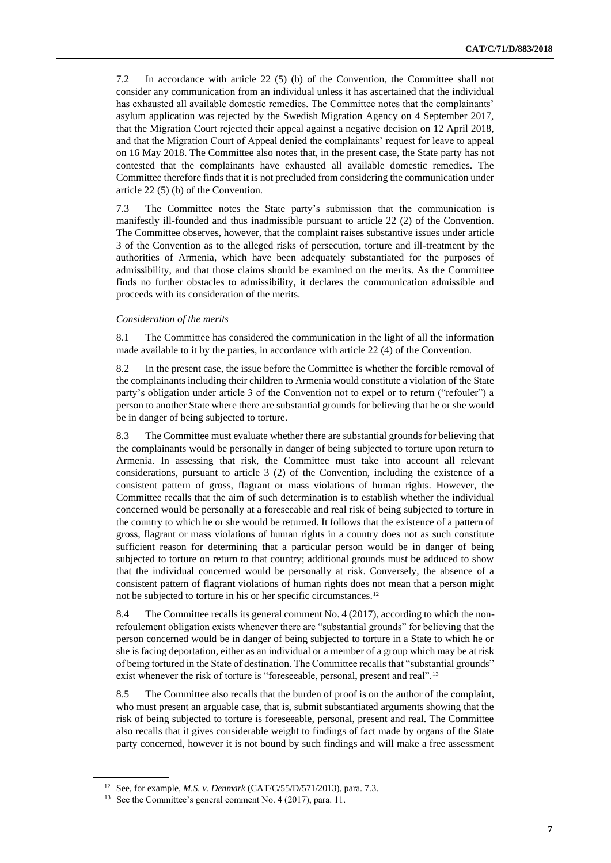7.2 In accordance with article 22 (5) (b) of the Convention, the Committee shall not consider any communication from an individual unless it has ascertained that the individual has exhausted all available domestic remedies. The Committee notes that the complainants' asylum application was rejected by the Swedish Migration Agency on 4 September 2017, that the Migration Court rejected their appeal against a negative decision on 12 April 2018, and that the Migration Court of Appeal denied the complainants' request for leave to appeal on 16 May 2018. The Committee also notes that, in the present case, the State party has not contested that the complainants have exhausted all available domestic remedies. The Committee therefore finds that it is not precluded from considering the communication under article 22 (5) (b) of the Convention.

7.3 The Committee notes the State party's submission that the communication is manifestly ill-founded and thus inadmissible pursuant to article 22 (2) of the Convention. The Committee observes, however, that the complaint raises substantive issues under article 3 of the Convention as to the alleged risks of persecution, torture and ill-treatment by the authorities of Armenia, which have been adequately substantiated for the purposes of admissibility, and that those claims should be examined on the merits. As the Committee finds no further obstacles to admissibility, it declares the communication admissible and proceeds with its consideration of the merits.

#### *Consideration of the merits*

8.1 The Committee has considered the communication in the light of all the information made available to it by the parties, in accordance with article 22 (4) of the Convention.

8.2 In the present case, the issue before the Committee is whether the forcible removal of the complainants including their children to Armenia would constitute a violation of the State party's obligation under article 3 of the Convention not to expel or to return ("refouler") a person to another State where there are substantial grounds for believing that he or she would be in danger of being subjected to torture.

8.3 The Committee must evaluate whether there are substantial grounds for believing that the complainants would be personally in danger of being subjected to torture upon return to Armenia. In assessing that risk, the Committee must take into account all relevant considerations, pursuant to article 3 (2) of the Convention, including the existence of a consistent pattern of gross, flagrant or mass violations of human rights. However, the Committee recalls that the aim of such determination is to establish whether the individual concerned would be personally at a foreseeable and real risk of being subjected to torture in the country to which he or she would be returned. It follows that the existence of a pattern of gross, flagrant or mass violations of human rights in a country does not as such constitute sufficient reason for determining that a particular person would be in danger of being subjected to torture on return to that country; additional grounds must be adduced to show that the individual concerned would be personally at risk. Conversely, the absence of a consistent pattern of flagrant violations of human rights does not mean that a person might not be subjected to torture in his or her specific circumstances.<sup>12</sup>

8.4 The Committee recalls its general comment No. 4 (2017), according to which the nonrefoulement obligation exists whenever there are "substantial grounds" for believing that the person concerned would be in danger of being subjected to torture in a State to which he or she is facing deportation, either as an individual or a member of a group which may be at risk of being tortured in the State of destination. The Committee recalls that "substantial grounds" exist whenever the risk of torture is "foreseeable, personal, present and real".<sup>13</sup>

8.5 The Committee also recalls that the burden of proof is on the author of the complaint, who must present an arguable case, that is, submit substantiated arguments showing that the risk of being subjected to torture is foreseeable, personal, present and real. The Committee also recalls that it gives considerable weight to findings of fact made by organs of the State party concerned, however it is not bound by such findings and will make a free assessment

<sup>12</sup> See, for example, *M.S. v. Denmark* (CAT/C/55/D/571/2013), para. 7.3.

<sup>&</sup>lt;sup>13</sup> See the Committee's general comment No. 4 (2017), para. 11.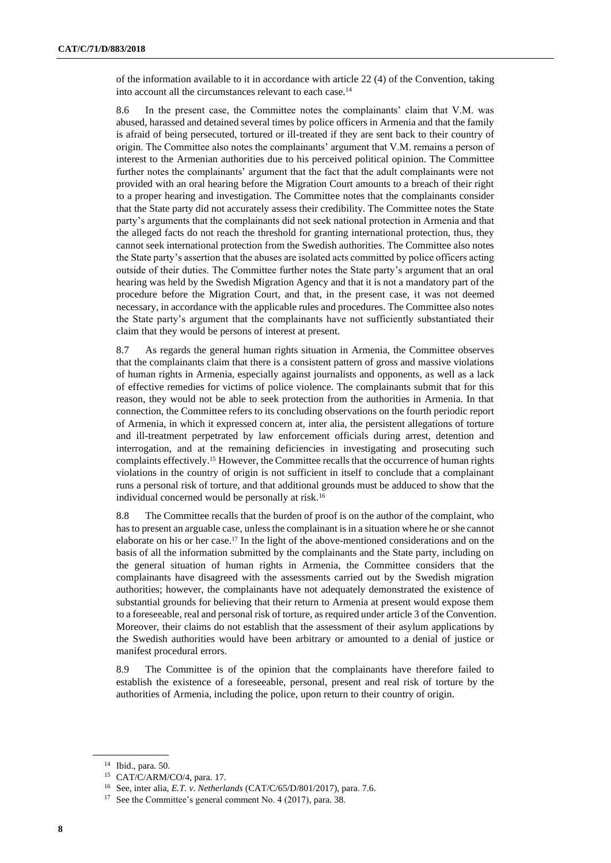of the information available to it in accordance with article 22 (4) of the Convention, taking into account all the circumstances relevant to each case.<sup>14</sup>

8.6 In the present case, the Committee notes the complainants' claim that V.M. was abused, harassed and detained several times by police officers in Armenia and that the family is afraid of being persecuted, tortured or ill-treated if they are sent back to their country of origin. The Committee also notes the complainants' argument that V.M. remains a person of interest to the Armenian authorities due to his perceived political opinion. The Committee further notes the complainants' argument that the fact that the adult complainants were not provided with an oral hearing before the Migration Court amounts to a breach of their right to a proper hearing and investigation. The Committee notes that the complainants consider that the State party did not accurately assess their credibility. The Committee notes the State party's arguments that the complainants did not seek national protection in Armenia and that the alleged facts do not reach the threshold for granting international protection, thus, they cannot seek international protection from the Swedish authorities. The Committee also notes the State party's assertion that the abuses are isolated acts committed by police officers acting outside of their duties. The Committee further notes the State party's argument that an oral hearing was held by the Swedish Migration Agency and that it is not a mandatory part of the procedure before the Migration Court, and that, in the present case, it was not deemed necessary, in accordance with the applicable rules and procedures. The Committee also notes the State party's argument that the complainants have not sufficiently substantiated their claim that they would be persons of interest at present.

8.7 As regards the general human rights situation in Armenia, the Committee observes that the complainants claim that there is a consistent pattern of gross and massive violations of human rights in Armenia, especially against journalists and opponents, as well as a lack of effective remedies for victims of police violence. The complainants submit that for this reason, they would not be able to seek protection from the authorities in Armenia. In that connection, the Committee refers to its concluding observations on the fourth periodic report of Armenia, in which it expressed concern at, inter alia, the persistent allegations of torture and ill-treatment perpetrated by law enforcement officials during arrest, detention and interrogation, and at the remaining deficiencies in investigating and prosecuting such complaints effectively.<sup>15</sup> However, the Committee recalls that the occurrence of human rights violations in the country of origin is not sufficient in itself to conclude that a complainant runs a personal risk of torture, and that additional grounds must be adduced to show that the individual concerned would be personally at risk.<sup>16</sup>

8.8 The Committee recalls that the burden of proof is on the author of the complaint, who has to present an arguable case, unless the complainant is in a situation where he or she cannot elaborate on his or her case.<sup>17</sup> In the light of the above-mentioned considerations and on the basis of all the information submitted by the complainants and the State party, including on the general situation of human rights in Armenia, the Committee considers that the complainants have disagreed with the assessments carried out by the Swedish migration authorities; however, the complainants have not adequately demonstrated the existence of substantial grounds for believing that their return to Armenia at present would expose them to a foreseeable, real and personal risk of torture, as required under article 3 of the Convention. Moreover, their claims do not establish that the assessment of their asylum applications by the Swedish authorities would have been arbitrary or amounted to a denial of justice or manifest procedural errors.

8.9 The Committee is of the opinion that the complainants have therefore failed to establish the existence of a foreseeable, personal, present and real risk of torture by the authorities of Armenia, including the police, upon return to their country of origin.

<sup>14</sup> Ibid., para. 50.

<sup>15</sup> CAT/C/ARM/CO/4, para. 17.

<sup>16</sup> See, inter alia, *E.T. v. Netherlands* (CAT/C/65/D/801/2017), para. 7.6.

<sup>&</sup>lt;sup>17</sup> See the Committee's general comment No. 4 (2017), para. 38.